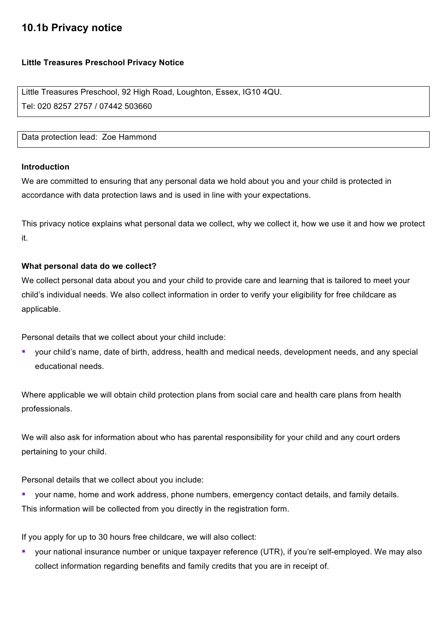# **10.1b Privacy notice**

# **Little Treasures Preschool Privacy Notice**

Little Treasures Preschool, 92 High Road, Loughton, Essex, IG10 4QU. Tel: 020 8257 2757 / 07442 503660

Data protection lead: Zoe Hammond

#### **Introduction**

We are committed to ensuring that any personal data we hold about you and your child is protected in accordance with data protection laws and is used in line with your expectations.

This privacy notice explains what personal data we collect, why we collect it, how we use it and how we protect it.

## **What personal data do we collect?**

We collect personal data about you and your child to provide care and learning that is tailored to meet your child's individual needs. We also collect information in order to verify your eligibility for free childcare as applicable.

Personal details that we collect about your child include:

§ your child's name, date of birth, address, health and medical needs, development needs, and any special educational needs.

Where applicable we will obtain child protection plans from social care and health care plans from health professionals.

We will also ask for information about who has parental responsibility for your child and any court orders pertaining to your child.

Personal details that we collect about you include:

■ your name, home and work address, phone numbers, emergency contact details, and family details. This information will be collected from you directly in the registration form.

If you apply for up to 30 hours free childcare, we will also collect:

§ your national insurance number or unique taxpayer reference (UTR), if you're self-employed. We may also collect information regarding benefits and family credits that you are in receipt of.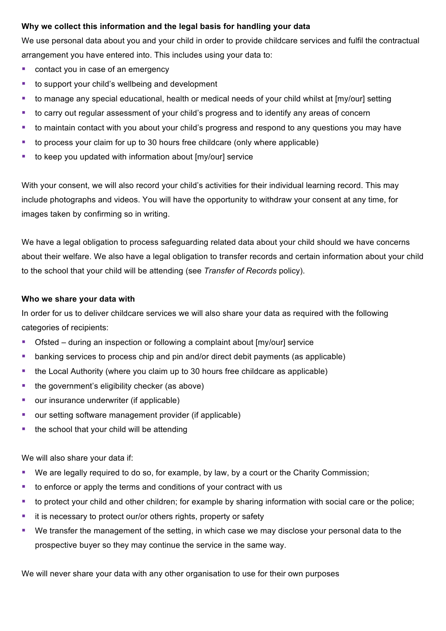# **Why we collect this information and the legal basis for handling your data**

We use personal data about you and your child in order to provide childcare services and fulfil the contractual arrangement you have entered into. This includes using your data to:

- contact you in case of an emergency
- to support your child's wellbeing and development
- to manage any special educational, health or medical needs of your child whilst at [my/our] setting
- to carry out regular assessment of your child's progress and to identify any areas of concern
- to maintain contact with you about your child's progress and respond to any questions you may have
- to process your claim for up to 30 hours free childcare (only where applicable)
- to keep you updated with information about [my/our] service

With your consent, we will also record your child's activities for their individual learning record. This may include photographs and videos. You will have the opportunity to withdraw your consent at any time, for images taken by confirming so in writing.

We have a legal obligation to process safeguarding related data about your child should we have concerns about their welfare. We also have a legal obligation to transfer records and certain information about your child to the school that your child will be attending (see *Transfer of Records* policy).

## **Who we share your data with**

In order for us to deliver childcare services we will also share your data as required with the following categories of recipients:

- Ofsted during an inspection or following a complaint about [my/our] service
- banking services to process chip and pin and/or direct debit payments (as applicable)
- the Local Authority (where you claim up to 30 hours free childcare as applicable)
- $\blacksquare$  the government's eligibility checker (as above)
- our insurance underwriter (if applicable)
- our setting software management provider (if applicable)
- the school that your child will be attending

We will also share your data if:

- We are legally required to do so, for example, by law, by a court or the Charity Commission;
- to enforce or apply the terms and conditions of your contract with us
- to protect your child and other children; for example by sharing information with social care or the police;
- it is necessary to protect our/or others rights, property or safety
- We transfer the management of the setting, in which case we may disclose your personal data to the prospective buyer so they may continue the service in the same way.

We will never share your data with any other organisation to use for their own purposes